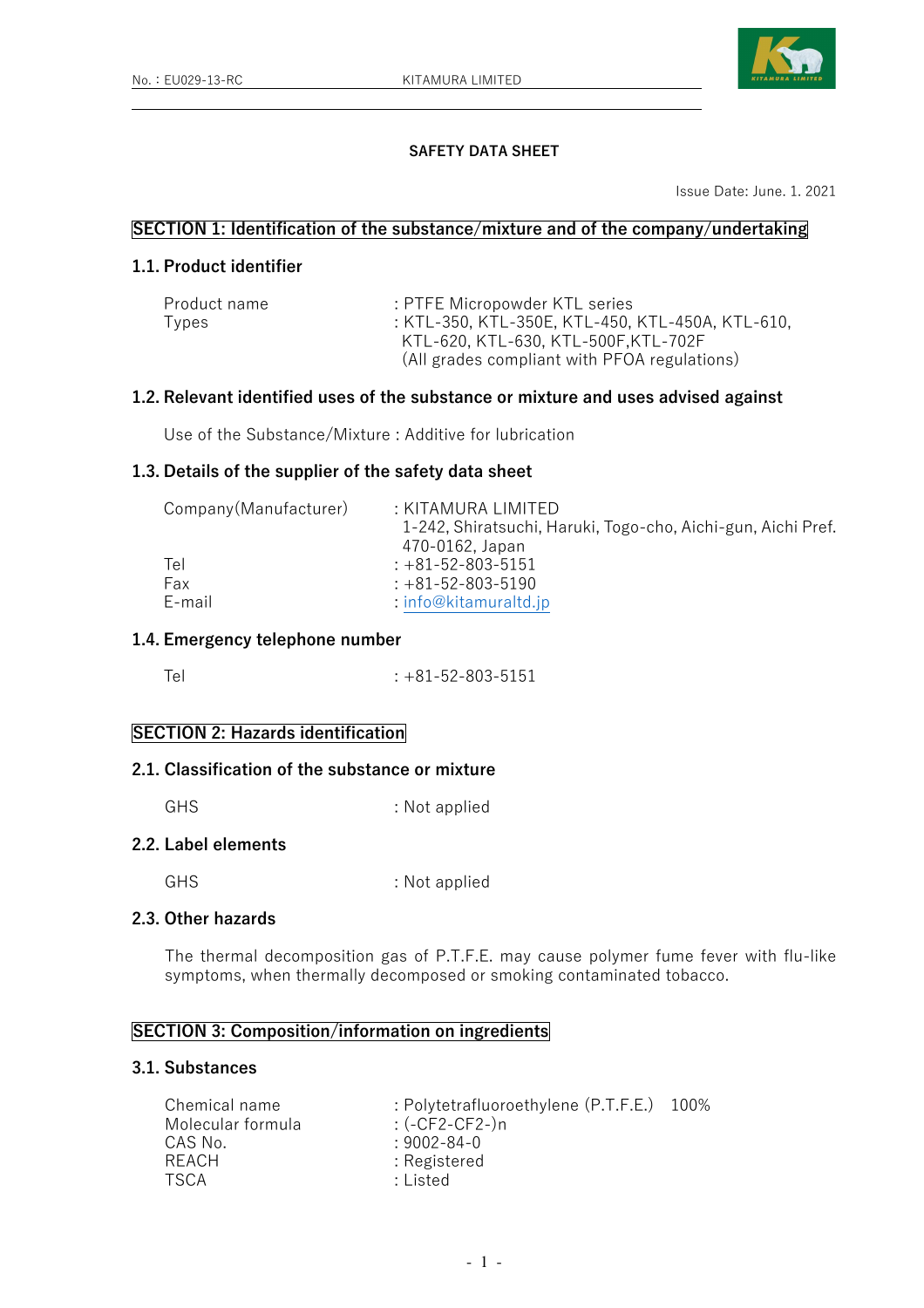

## SAFETY DATA SHEET

Issue Date: June. 1. 2021

## SECTION 1: Identification of the substance/mixture and of the company/undertaking

# 1.1. Product identifier

| Product name | : PTFE Micropowder KTL series                    |
|--------------|--------------------------------------------------|
| Types        | : KTL-350, KTL-350E, KTL-450, KTL-450A, KTL-610, |
|              | KTL-620, KTL-630, KTL-500F,KTL-702F              |
|              | (All grades compliant with PFOA regulations)     |

#### 1.2. Relevant identified uses of the substance or mixture and uses advised against

Use of the Substance/Mixture : Additive for lubrication

#### 1.3. Details of the supplier of the safety data sheet

| Company (Manufacturer) | : KITAMURA LIMITED                                           |
|------------------------|--------------------------------------------------------------|
|                        | 1-242, Shiratsuchi, Haruki, Togo-cho, Aichi-gun, Aichi Pref. |
|                        | 470-0162, Japan                                              |
| Tel                    | $: +81 - 52 - 803 - 5151$                                    |
| Fax                    | $: +81 - 52 - 803 - 5190$                                    |
| E-mail                 | $:$ info@kitamuraltd.jp                                      |

### 1.4. Emergency telephone number

Tel : +81-52-803-5151

## SECTION 2: Hazards identification

# 2.1. Classification of the substance or mixture

GHS : Not applied

# 2.2. Label elements

GHS : Not applied

# 2.3. Other hazards

The thermal decomposition gas of P.T.F.E. may cause polymer fume fever with flu-like symptoms, when thermally decomposed or smoking contaminated tobacco.

# SECTION 3: Composition/information on ingredients

## 3.1. Substances

| Chemical name     | : Polytetrafluoroethylene (P.T.F.E.) 100% |  |
|-------------------|-------------------------------------------|--|
| Molecular formula | : (-CF2-CF2-)n                            |  |
| CAS No.           | $:9002 - 84 - 0$                          |  |
| RFACH             | : Registered                              |  |
| <b>TSCA</b>       | : Listed                                  |  |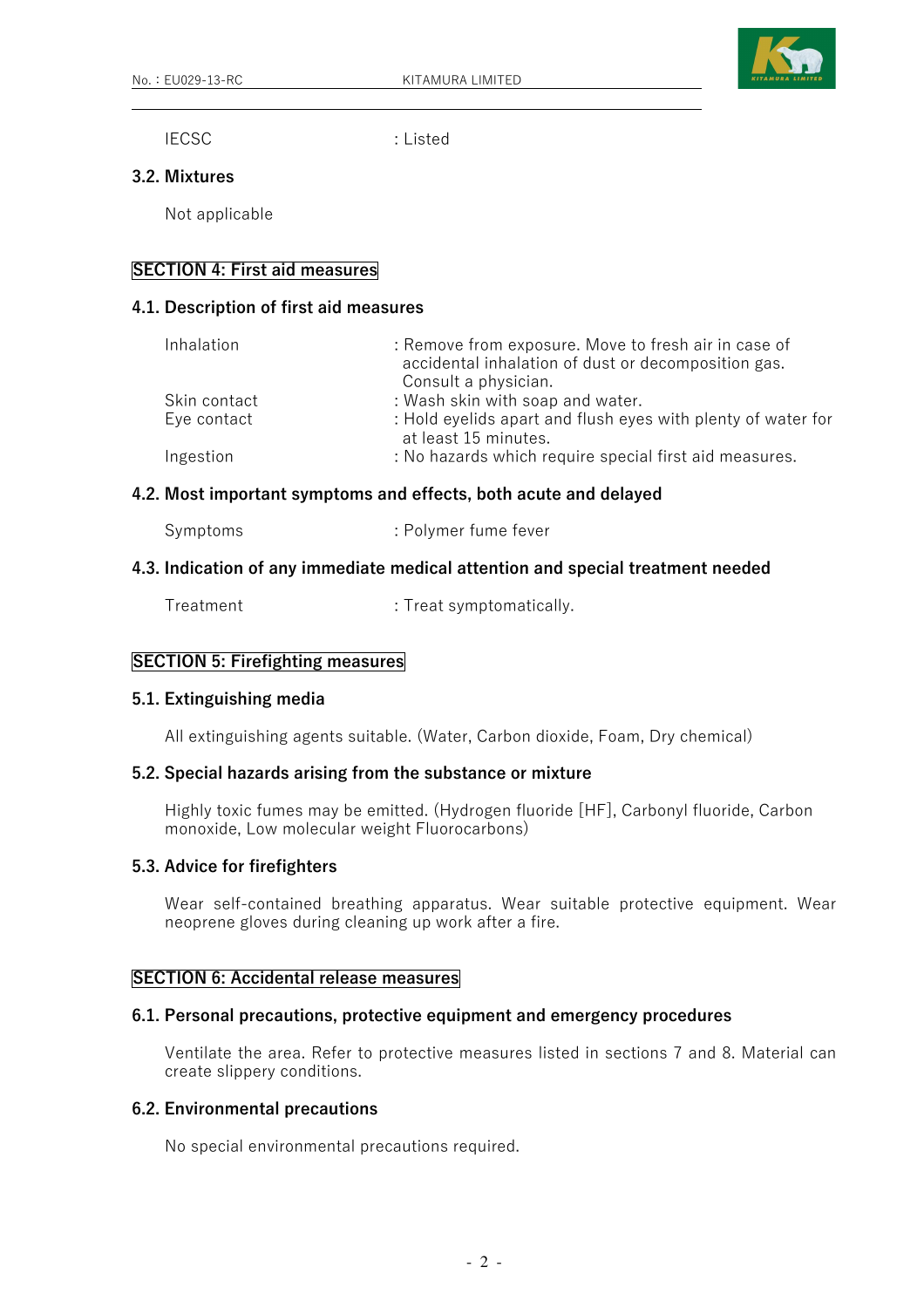

IECSC : Listed

#### 3.2. Mixtures

Not applicable

### SECTION 4: First aid measures

### 4.1. Description of first aid measures

| Inhalation   | : Remove from exposure. Move to fresh air in case of<br>accidental inhalation of dust or decomposition gas.<br>Consult a physician. |
|--------------|-------------------------------------------------------------------------------------------------------------------------------------|
| Skin contact | : Wash skin with soap and water.                                                                                                    |
| Eye contact  | : Hold eyelids apart and flush eyes with plenty of water for<br>at least 15 minutes.                                                |
| Ingestion    | : No hazards which require special first aid measures.                                                                              |

#### 4.2. Most important symptoms and effects, both acute and delayed

| Symptoms | : Polymer fume fever |
|----------|----------------------|
|----------|----------------------|

#### 4.3. Indication of any immediate medical attention and special treatment needed

Treatment : Treat symptomatically.

## SECTION 5: Firefighting measures

#### 5.1. Extinguishing media

All extinguishing agents suitable. (Water, Carbon dioxide, Foam, Dry chemical)

#### 5.2. Special hazards arising from the substance or mixture

 Highly toxic fumes may be emitted. (Hydrogen fluoride [HF], Carbonyl fluoride, Carbon monoxide, Low molecular weight Fluorocarbons)

#### 5.3. Advice for firefighters

 Wear self-contained breathing apparatus. Wear suitable protective equipment. Wear neoprene gloves during cleaning up work after a fire.

### SECTION 6: Accidental release measures

### 6.1. Personal precautions, protective equipment and emergency procedures

 Ventilate the area. Refer to protective measures listed in sections 7 and 8. Material can create slippery conditions.

### 6.2. Environmental precautions

No special environmental precautions required.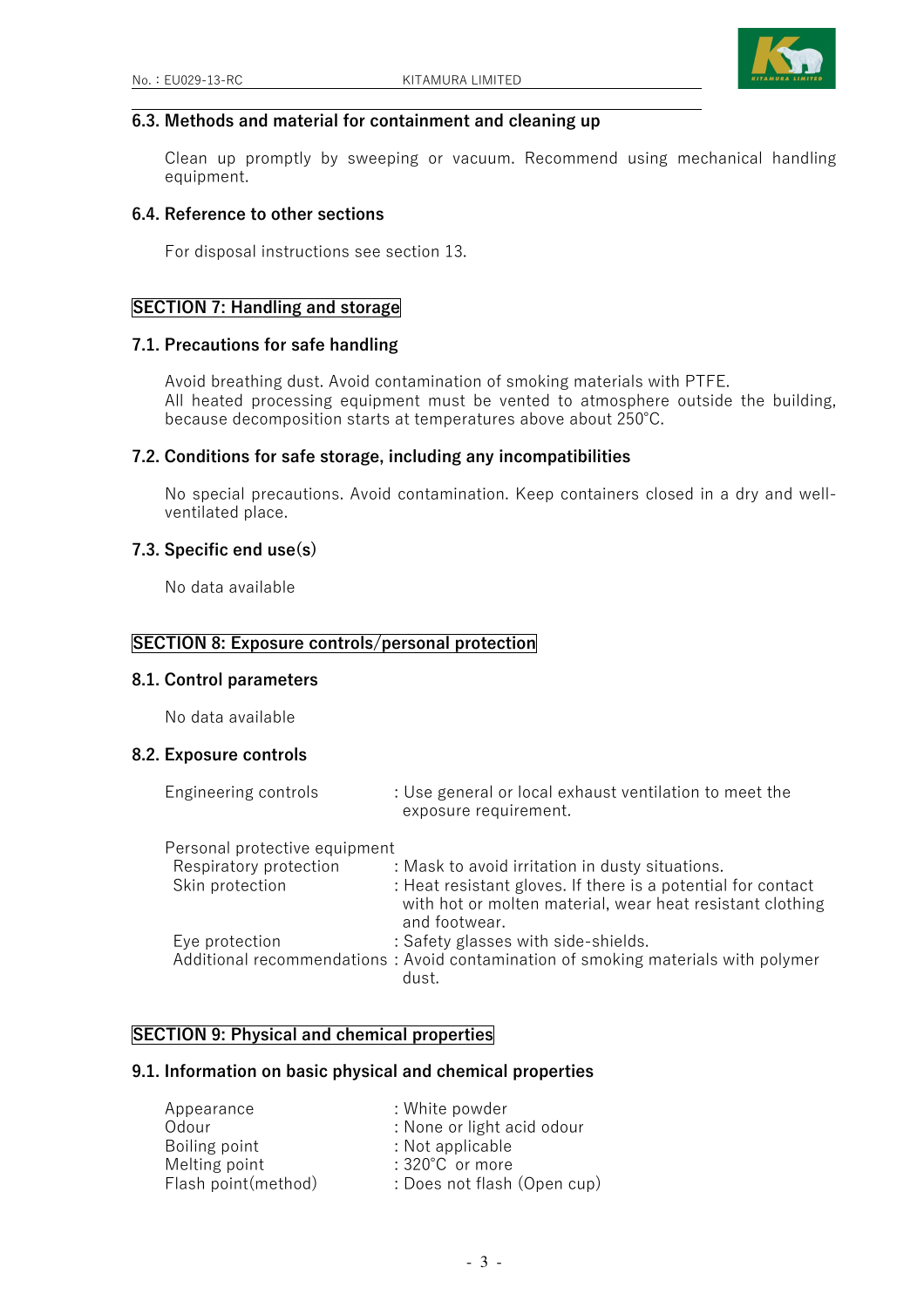

#### 6.3. Methods and material for containment and cleaning up

 Clean up promptly by sweeping or vacuum. Recommend using mechanical handling equipment.

#### 6.4. Reference to other sections

For disposal instructions see section 13.

## SECTION 7: Handling and storage

#### 7.1. Precautions for safe handling

 Avoid breathing dust. Avoid contamination of smoking materials with PTFE. All heated processing equipment must be vented to atmosphere outside the building, because decomposition starts at temperatures above about 250℃.

#### 7.2. Conditions for safe storage, including any incompatibilities

 No special precautions. Avoid contamination. Keep containers closed in a dry and wellventilated place.

#### 7.3. Specific end use(s)

No data available

#### SECTION 8: Exposure controls/personal protection

#### 8.1. Control parameters

No data available

## 8.2. Exposure controls

| Engineering controls          | : Use general or local exhaust ventilation to meet the<br>exposure requirement.                                                            |
|-------------------------------|--------------------------------------------------------------------------------------------------------------------------------------------|
| Personal protective equipment |                                                                                                                                            |
| Respiratory protection        | : Mask to avoid irritation in dusty situations.                                                                                            |
| Skin protection               | : Heat resistant gloves. If there is a potential for contact<br>with hot or molten material, wear heat resistant clothing<br>and footwear. |
| Eye protection                | : Safety glasses with side-shields.                                                                                                        |
|                               | Additional recommendations: Avoid contamination of smoking materials with polymer<br>dust.                                                 |

## SECTION 9: Physical and chemical properties

#### 9.1. Information on basic physical and chemical properties

| : White powder              |
|-----------------------------|
| : None or light acid odour  |
| : Not applicable            |
| : 320°C or more             |
| : Does not flash (Open cup) |
|                             |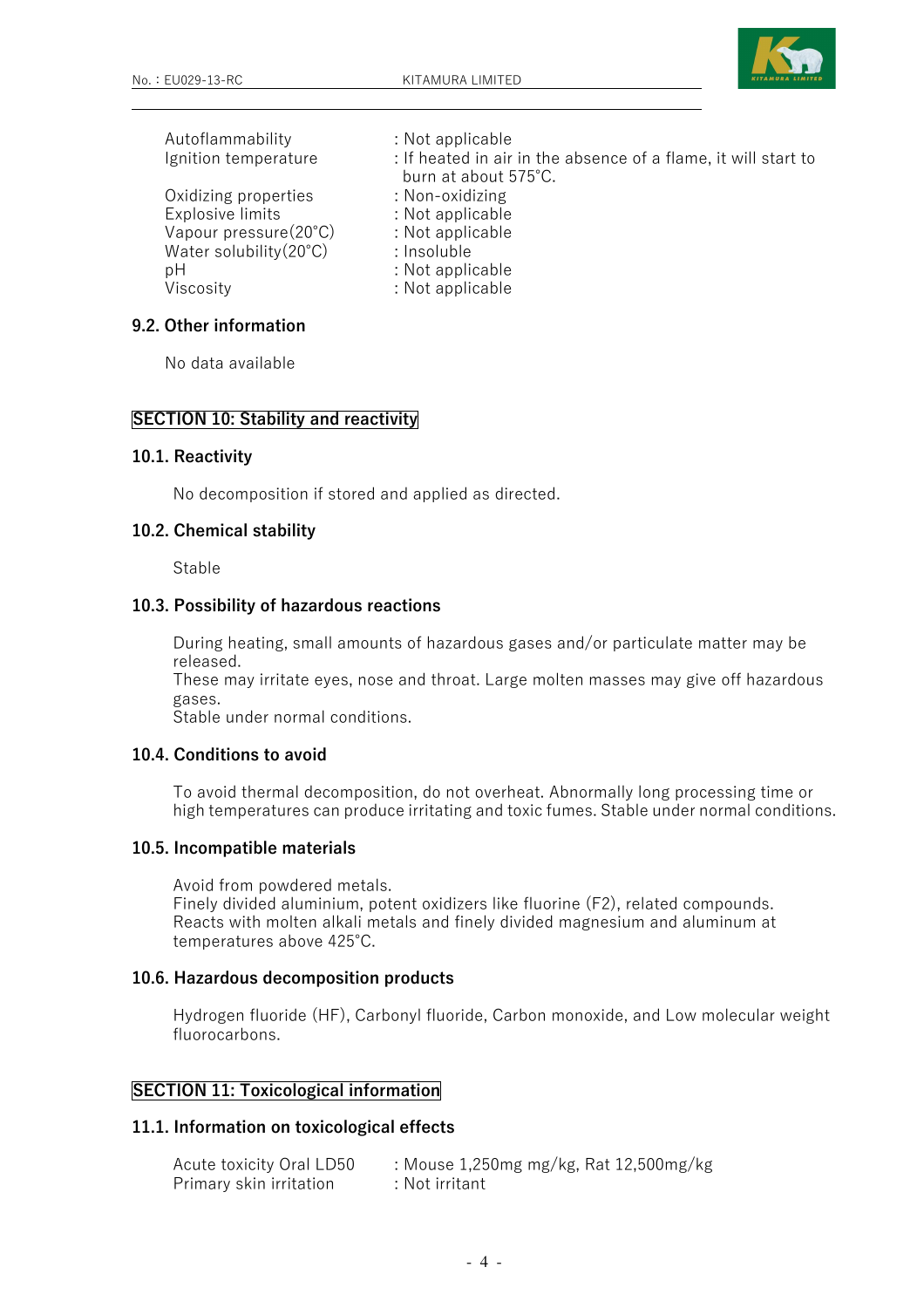

| Autoflammability                 | : Not applicable                                               |
|----------------------------------|----------------------------------------------------------------|
| Ignition temperature             | : If heated in air in the absence of a flame, it will start to |
|                                  | burn at about 575°C.                                           |
| Oxidizing properties             | : Non-oxidizing                                                |
| Explosive limits                 | : Not applicable                                               |
| Vapour pressure(20°C)            | : Not applicable                                               |
| Water solubility $(20^{\circ}C)$ | : Insoluble                                                    |
| рH                               | : Not applicable                                               |
| Viscosity                        | : Not applicable                                               |

#### 9.2. Other information

No data available

## SECTION 10: Stability and reactivity

#### 10.1. Reactivity

No decomposition if stored and applied as directed.

#### 10.2. Chemical stability

Stable

### 10.3. Possibility of hazardous reactions

 During heating, small amounts of hazardous gases and/or particulate matter may be released.

 These may irritate eyes, nose and throat. Large molten masses may give off hazardous gases.

Stable under normal conditions.

#### 10.4. Conditions to avoid

 To avoid thermal decomposition, do not overheat. Abnormally long processing time or high temperatures can produce irritating and toxic fumes. Stable under normal conditions.

#### 10.5. Incompatible materials

 Avoid from powdered metals. Finely divided aluminium, potent oxidizers like fluorine (F2), related compounds. Reacts with molten alkali metals and finely divided magnesium and aluminum at temperatures above 425℃.

### 10.6. Hazardous decomposition products

 Hydrogen fluoride (HF), Carbonyl fluoride, Carbon monoxide, and Low molecular weight fluorocarbons.

#### SECTION 11: Toxicological information

#### 11.1. Information on toxicological effects

| Acute toxicity Oral LD50 | : Mouse 1,250mg mg/kg, Rat 12,500mg/kg |
|--------------------------|----------------------------------------|
| Primary skin irritation  | : Not irritant                         |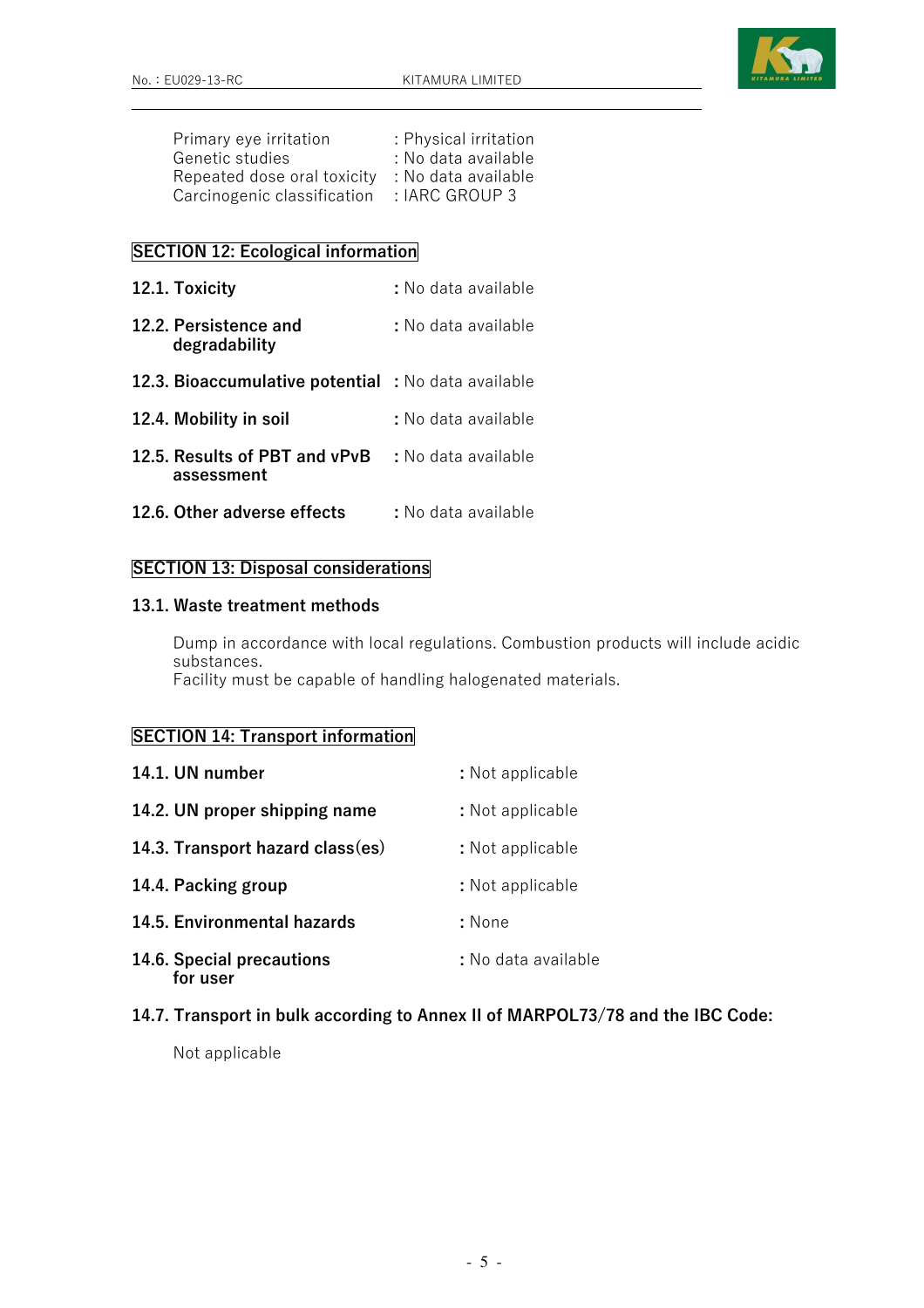

| Primary eye irritation      | : Physical irritation |
|-----------------------------|-----------------------|
| Genetic studies             | : No data available   |
| Repeated dose oral toxicity | : No data available   |
| Carcinogenic classification | : IARC GROUP 3        |

# SECTION 12: Ecological information

- 12.1. Toxicity : No data available 12.2. Persistence and : No data available degradability 12.3. Bioaccumulative potential : No data available 12.4. Mobility in soil : No data available 12.5. Results of PBT and vPvB : No data available
- assessment
- 12.6. Other adverse effects : No data available

### SECTION 13: Disposal considerations

### 13.1. Waste treatment methods

 Dump in accordance with local regulations. Combustion products will include acidic substances. Facility must be capable of handling halogenated materials.

## SECTION 14: Transport information

| 14.1. UN number                       | : Not applicable    |
|---------------------------------------|---------------------|
| 14.2. UN proper shipping name         | : Not applicable    |
| 14.3. Transport hazard class(es)      | : Not applicable    |
| 14.4. Packing group                   | : Not applicable    |
| 14.5. Environmental hazards           | : None              |
| 14.6. Special precautions<br>for user | : No data available |

## 14.7. Transport in bulk according to Annex II of MARPOL73/78 and the IBC Code:

Not applicable